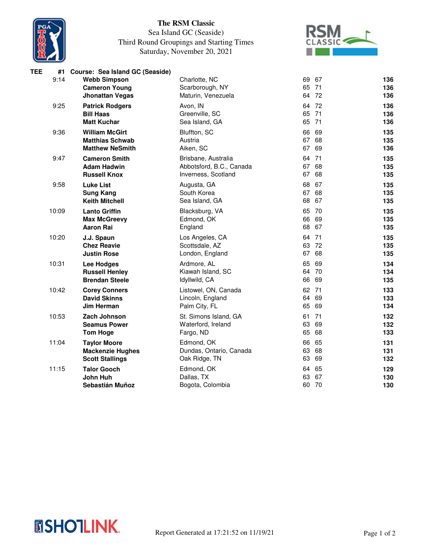

## **The RSM Classic**

## Sea Island GC (Seaside) Third Round Groupings and Starting Times Saturday, November 20, 2021



| TEE | #1    | Course: Sea Island GC (Seaside) |                          |       |    |     |
|-----|-------|---------------------------------|--------------------------|-------|----|-----|
|     | 9:14  | <b>Webb Simpson</b>             | Charlotte, NC            | 69    | 67 | 136 |
|     |       | <b>Cameron Young</b>            | Scarborough, NY          | 65 71 |    | 136 |
|     |       | <b>Jhonattan Vegas</b>          | Maturin, Venezuela       | 64 72 |    | 136 |
|     | 9:25  | <b>Patrick Rodgers</b>          | Avon, IN                 | 64 72 |    | 136 |
|     |       | <b>Bill Haas</b>                | Greenville, SC           | 65 71 |    | 136 |
|     |       | <b>Matt Kuchar</b>              | Sea Island, GA           | 65 71 |    | 136 |
|     | 9:36  | <b>William McGirt</b>           | Bluffton, SC             | 66    | 69 | 135 |
|     |       | <b>Matthias Schwab</b>          | Austria                  | 67 68 |    | 135 |
|     |       | <b>Matthew NeSmith</b>          | Aiken, SC                | 67    | 69 | 136 |
|     | 9:47  | <b>Cameron Smith</b>            | Brisbane, Australia      | 64 71 |    | 135 |
|     |       | <b>Adam Hadwin</b>              | Abbotsford, B.C., Canada | 67 68 |    | 135 |
|     |       | <b>Russell Knox</b>             | Inverness, Scotland      | 67    | 68 | 135 |
|     | 9:58  | <b>Luke List</b>                | Augusta, GA              | 68    | 67 | 135 |
|     |       | <b>Sung Kang</b>                | South Korea              | 67 68 |    | 135 |
|     |       | <b>Keith Mitchell</b>           | Sea Island, GA           | 68    | 67 | 135 |
|     | 10:09 | <b>Lanto Griffin</b>            | Blacksburg, VA           | 65 70 |    | 135 |
|     |       | <b>Max McGreevy</b>             | Edmond, OK               | 66 69 |    | 135 |
|     |       | <b>Aaron Rai</b>                | England                  | 68    | 67 | 135 |
|     | 10:20 | J.J. Spaun                      | Los Angeles, CA          | 64 71 |    | 135 |
|     |       | <b>Chez Reavie</b>              | Scottsdale, AZ           | 63 72 |    | 135 |
|     |       | <b>Justin Rose</b>              | London, England          | 67 68 |    | 135 |
|     | 10:31 | Lee Hodges                      | Ardmore, AL              | 65    | 69 | 134 |
|     |       | <b>Russell Henley</b>           | Kiawah Island, SC        | 64 70 |    | 134 |
|     |       | <b>Brendan Steele</b>           | Idyllwild, CA            | 66 69 |    | 135 |
|     | 10:42 | <b>Corey Conners</b>            | Listowel, ON, Canada     | 62 71 |    | 133 |
|     |       | <b>David Skinns</b>             | Lincoln, England         | 64    | 69 | 133 |
|     |       | Jim Herman                      | Palm City, FL            | 65 69 |    | 134 |
|     | 10:53 | Zach Johnson                    | St. Simons Island, GA    | 61 71 |    | 132 |
|     |       | <b>Seamus Power</b>             | Waterford, Ireland       | 63    | 69 | 132 |
|     |       | <b>Tom Hoge</b>                 | Fargo, ND                | 65    | 68 | 133 |
|     | 11:04 | <b>Taylor Moore</b>             | Edmond, OK               | 66 65 |    | 131 |
|     |       | <b>Mackenzie Hughes</b>         | Dundas, Ontario, Canada  | 63    | 68 | 131 |
|     |       | <b>Scott Stallings</b>          | Oak Ridge, TN            | 63    | 69 | 132 |
|     | 11:15 | <b>Talor Gooch</b>              | Edmond, OK               | 64 65 |    | 129 |
|     |       | <b>John Huh</b>                 | Dallas, TX               | 63    | 67 | 130 |
|     |       | Sebastián Muñoz                 | Bogota, Colombia         | 60 70 |    | 130 |
|     |       |                                 |                          |       |    |     |